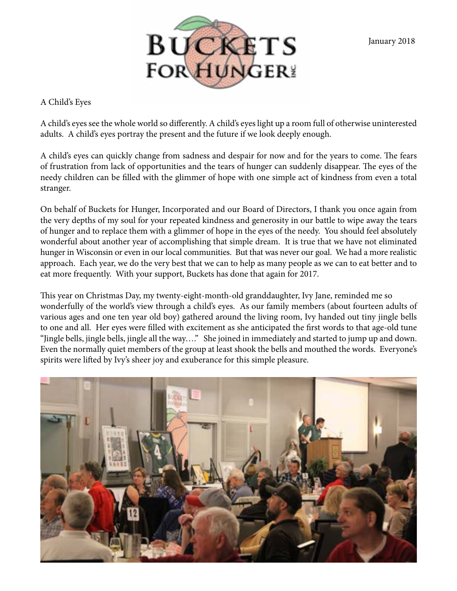January 2018



A Child's Eyes

A child's eyes see the whole world so differently. A child's eyes light up a room full of otherwise uninterested adults. A child's eyes portray the present and the future if we look deeply enough.

A child's eyes can quickly change from sadness and despair for now and for the years to come. The fears of frustration from lack of opportunities and the tears of hunger can suddenly disappear. The eyes of the needy children can be filled with the glimmer of hope with one simple act of kindness from even a total stranger.

On behalf of Buckets for Hunger, Incorporated and our Board of Directors, I thank you once again from the very depths of my soul for your repeated kindness and generosity in our battle to wipe away the tears of hunger and to replace them with a glimmer of hope in the eyes of the needy. You should feel absolutely wonderful about another year of accomplishing that simple dream. It is true that we have not eliminated hunger in Wisconsin or even in our local communities. But that was never our goal. We had a more realistic approach. Each year, we do the very best that we can to help as many people as we can to eat better and to eat more frequently. With your support, Buckets has done that again for 2017.

This year on Christmas Day, my twenty-eight-month-old granddaughter, Ivy Jane, reminded me so wonderfully of the world's view through a child's eyes. As our family members (about fourteen adults of various ages and one ten year old boy) gathered around the living room, Ivy handed out tiny jingle bells to one and all. Her eyes were filled with excitement as she anticipated the first words to that age-old tune "Jingle bells, jingle bells, jingle all the way…." She joined in immediately and started to jump up and down. Even the normally quiet members of the group at least shook the bells and mouthed the words. Everyone's spirits were lifted by Ivy's sheer joy and exuberance for this simple pleasure.

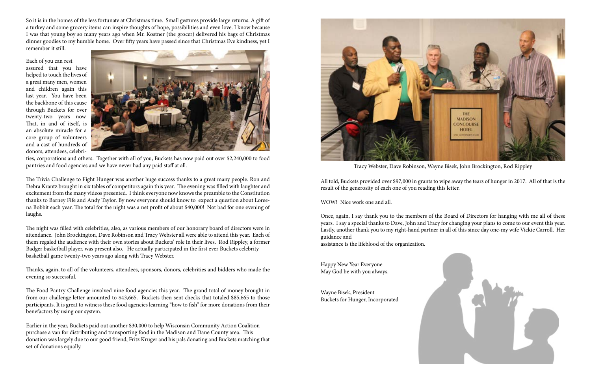So it is in the homes of the less fortunate at Christmas time. Small gestures provide large returns. A gift of a turkey and some grocery items can inspire thoughts of hope, possibilities and even love. I know because I was that young boy so many years ago when Mr. Kostner (the grocer) delivered his bags of Christmas dinner goodies to my humble home. Over fifty years have passed since that Christmas Eve kindness, yet I remember it still.

Each of you can rest assured that you have helped to touch the lives of a great many men, women and children again this last year. You have been the backbone of this cause through Buckets for over twenty-two years now. That, in and of itself, is an absolute miracle for a core group of volunteers and a cast of hundreds of donors, attendees, celebri-



ties, corporations and others. Together with all of you, Buckets has now paid out over \$2,240,000 to food pantries and food agencies and we have never had any paid staff at all.

The Trivia Challenge to Fight Hunger was another huge success thanks to a great many people. Ron and Debra Krantz brought in six tables of competitors again this year. The evening was filled with laughter and excitement from the many videos presented. I think everyone now knows the preamble to the Constitution thanks to Barney Fife and Andy Taylor. By now everyone should know to expect a question about Loreena Bobbit each year. The total for the night was a net profit of about \$40,000! Not bad for one evening of laughs.

The night was filled with celebrities, also, as various members of our honorary board of directors were in attendance. John Brockington, Dave Robinson and Tracy Webster all were able to attend this year. Each of them regaled the audience with their own stories about Buckets' role in their lives. Rod Rippley, a former Badger basketball player, was present also. He actually participated in the first ever Buckets celebrity basketball game twenty-two years ago along with Tracy Webster.

Thanks, again, to all of the volunteers, attendees, sponsors, donors, celebrities and bidders who made the evening so successful.

The Food Pantry Challenge involved nine food agencies this year. The grand total of money brought in from our challenge letter amounted to \$43,665. Buckets then sent checks that totaled \$85,665 to those participants. It is great to witness these food agencies learning "how to fish" for more donations from their benefactors by using our system.

Earlier in the year, Buckets paid out another \$30,000 to help Wisconsin Community Action Coalition purchase a van for distributing and transporting food in the Madison and Dane County area. This donation was largely due to our good friend, Fritz Kruger and his pals donating and Buckets matching that set of donations equally.

All told, Buckets provided over \$97,000 in grants to wipe away the tears of hunger in 2017. All of that is the result of the generosity of each one of you reading this letter.

WOW! Nice work one and all.

Once, again, I say thank you to the members of the Board of Directors for hanging with me all of these years. I say a special thanks to Dave, John and Tracy for changing your plans to come to our event this year. Lastly, another thank you to my right-hand partner in all of this since day one-my wife Vickie Carroll. Her guidance and assistance is the lifeblood of the organization.

Happy New Year Everyone May God be with you always.

Wayne Bisek, President Buckets for Hunger, Incorporated





Tracy Webster, Dave Robinson, Wayne Bisek, John Brockington, Rod Rippley